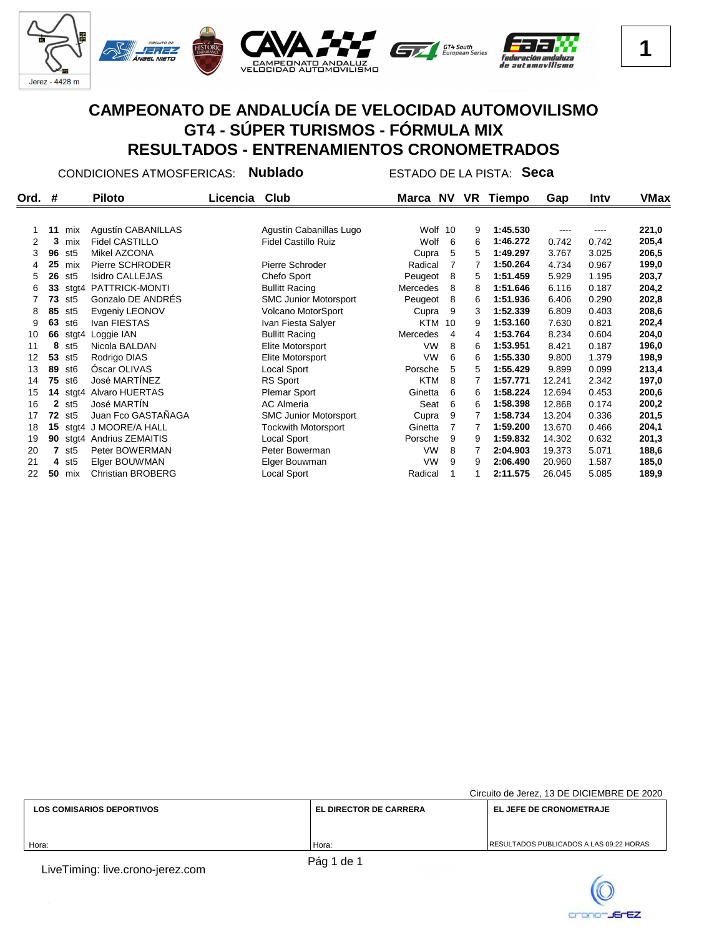

CONDICIONES ATMOSFERICAS: **Nublado** ESTADO DE LA PISTA: **Seca**

| Ord. | #            |                 | <b>Piloto</b>            | Licencia | Club                         | Marca NV   |                | VR | Tiempo   | Gap    | Intv  | VMax  |
|------|--------------|-----------------|--------------------------|----------|------------------------------|------------|----------------|----|----------|--------|-------|-------|
|      |              |                 |                          |          |                              |            |                |    |          |        |       |       |
|      | 11           | mix             | Agustín CABANILLAS       |          | Agustin Cabanillas Lugo      | Wolf 10    |                | 9  | 1:45.530 | ----   | ----  | 221,0 |
| 2    | 3            | mix             | <b>Fidel CASTILLO</b>    |          | <b>Fidel Castillo Ruiz</b>   | Wolf       | 6              | 6  | 1:46.272 | 0.742  | 0.742 | 205,4 |
| 3    | 96           | st <sub>5</sub> | Mikel AZCONA             |          |                              | Cupra      | 5              | 5  | 1:49.297 | 3.767  | 3.025 | 206,5 |
| 4    | 25           | mix             | Pierre SCHRODER          |          | Pierre Schroder              | Radical    |                |    | 1:50.264 | 4.734  | 0.967 | 199,0 |
| 5    | 26           | st5             | <b>Isidro CALLEJAS</b>   |          | Chefo Sport                  | Peugeot    | 8              | 5  | 1:51.459 | 5.929  | 1.195 | 203,7 |
| 6    | 33           | stgt4           | PATTRICK-MONTI           |          | <b>Bullitt Racing</b>        | Mercedes   | 8              | 8  | 1:51.646 | 6.116  | 0.187 | 204,2 |
|      | 73           | st <sub>5</sub> | Gonzalo DE ANDRES        |          | <b>SMC Junior Motorsport</b> | Peugeot    | 8              | 6  | 1:51.936 | 6.406  | 0.290 | 202,8 |
| 8    | 85           | st <sub>5</sub> | Evgeniy LEONOV           |          | Volcano MotorSport           | Cupra      | 9              | 3  | 1:52.339 | 6.809  | 0.403 | 208,6 |
| 9    | 63           | st <sub>6</sub> | Ivan FIESTAS             |          | Ivan Fiesta Salyer           | <b>KTM</b> | 10             | 9  | 1:53.160 | 7.630  | 0.821 | 202,4 |
| 10   | 66           | stgt4           | Loggie IAN               |          | <b>Bullitt Racing</b>        | Mercedes   | $\overline{4}$ | 4  | 1:53.764 | 8.234  | 0.604 | 204,0 |
| 11   | 8            | st <sub>5</sub> | Nicola BALDAN            |          | Elite Motorsport             | <b>VW</b>  | 8              | 6  | 1:53.951 | 8.421  | 0.187 | 196,0 |
| 12   | 53           | st <sub>5</sub> | Rodrigo DIAS             |          | Elite Motorsport             | <b>VW</b>  | 6              | 6  | 1:55.330 | 9.800  | 1.379 | 198,9 |
| 13   | 89           | st <sub>6</sub> | Oscar OLIVAS             |          | Local Sport                  | Porsche    | 5              | 5  | 1:55.429 | 9.899  | 0.099 | 213,4 |
| 14   | 75           | st <sub>6</sub> | José MARTÍNEZ            |          | RS Sport                     | <b>KTM</b> | 8              |    | 1:57.771 | 12.241 | 2.342 | 197,0 |
| 15   | 14           | stgt4           | Alvaro HUERTAS           |          | Plemar Sport                 | Ginetta    | 6              | 6  | 1:58.224 | 12.694 | 0.453 | 200,6 |
| 16   | $\mathbf{2}$ | st <sub>5</sub> | José MARTÍN              |          | <b>AC Almeria</b>            | Seat       | 6              | 6  | 1:58.398 | 12.868 | 0.174 | 200,2 |
| 17   | 72           | st5             | Juan Fco GASTAÑAGA       |          | <b>SMC Junior Motorsport</b> | Cupra      | 9              |    | 1:58.734 | 13.204 | 0.336 | 201,5 |
| 18   | 15           |                 | stgt4 J MOORE/A HALL     |          | <b>Tockwith Motorsport</b>   | Ginetta    |                |    | 1:59.200 | 13.670 | 0.466 | 204,1 |
| 19   | 90           |                 | stgt4 Andrius ZEMAITIS   |          | Local Sport                  | Porsche    | 9              | 9  | 1:59.832 | 14.302 | 0.632 | 201,3 |
| 20   |              | st <sub>5</sub> | Peter BOWERMAN           |          | Peter Bowerman               | VW         | 8              |    | 2:04.903 | 19.373 | 5.071 | 188,6 |
| 21   | 4            | st5             | Elger BOUWMAN            |          | Elger Bouwman                | VW         | 9              | 9  | 2:06.490 | 20.960 | 1.587 | 185,0 |
| 22   | 50           | mix             | <b>Christian BROBERG</b> |          | Local Sport                  | Radical    |                |    | 2:11.575 | 26.045 | 5.085 | 189,9 |
|      |              |                 |                          |          |                              |            |                |    |          |        |       |       |

|                                  |                               | Circuito de Jerez, 13 DE DICIEMBRE DE 2020      |
|----------------------------------|-------------------------------|-------------------------------------------------|
| <b>LOS COMISARIOS DEPORTIVOS</b> | <b>EL DIRECTOR DE CARRERA</b> | <b>EL JEFE DE CRONOMETRAJE</b>                  |
|                                  |                               |                                                 |
|                                  |                               |                                                 |
| Hora:                            | Hora:                         | <b>IRESULTADOS PUBLICADOS A LAS 09:22 HORAS</b> |
|                                  |                               |                                                 |

LiveTiming: live.crono-jerez.com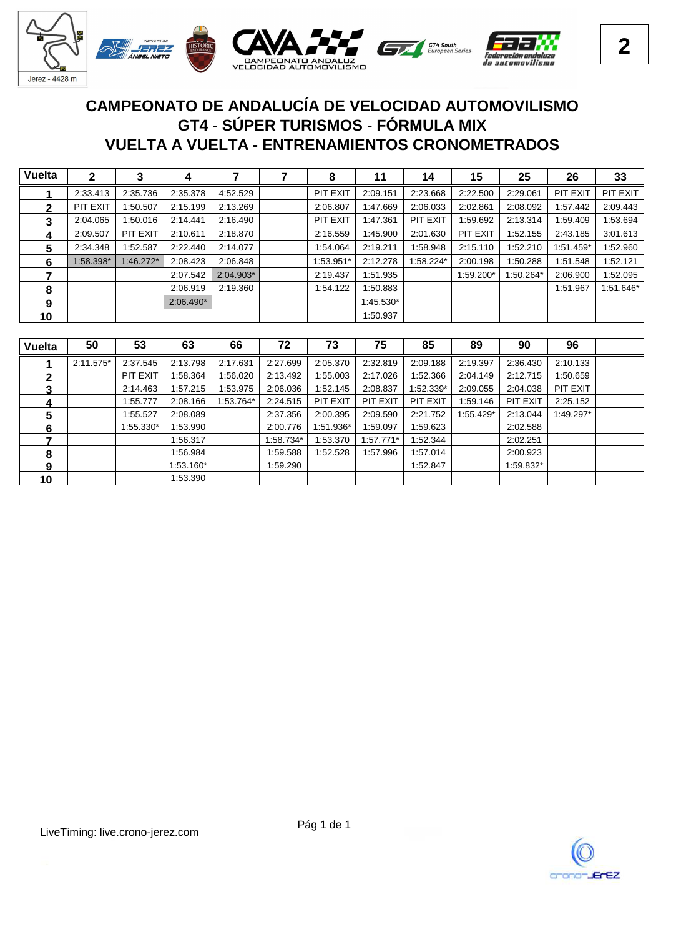

## **VUELTA A VUELTA - ENTRENAMIENTOS CRONOMETRADOS GT4 - SÚPER TURISMOS - FÓRMULA MIX CAMPEONATO DE ANDALUCÍA DE VELOCIDAD AUTOMOVILISMO**

| <b>Vuelta</b> | 2         | 3           | 4           |           | 8         | 11        | 14        | 15        | 25        | 26              | 33        |
|---------------|-----------|-------------|-------------|-----------|-----------|-----------|-----------|-----------|-----------|-----------------|-----------|
|               | 2:33.413  | 2:35.736    | 2:35.378    | 4:52.529  | PIT EXIT  | 2:09.151  | 2:23.668  | 2:22.500  | 2:29.061  | <b>PIT EXIT</b> | PIT EXIT  |
| 2             | PIT EXIT  | 1:50.507    | 2:15.199    | 2:13.269  | 2:06.807  | 1:47.669  | 2:06.033  | 2:02.861  | 2:08.092  | 1:57.442        | 2:09.443  |
| 3             | 2:04.065  | 1:50.016    | 2:14.441    | 2:16.490  | PIT EXIT  | 1:47.361  | PIT EXIT  | 1:59.692  | 2:13.314  | 1:59.409        | 1:53.694  |
| 4             | 2:09.507  | PIT EXIT    | 2:10.611    | 2:18.870  | 2:16.559  | 1:45.900  | 2:01.630  | PIT EXIT  | 1:52.155  | 2:43.185        | 3:01.613  |
| 5             | 2:34.348  | 1:52.587    | 2:22.440    | 2:14.077  | 1:54.064  | 2:19.211  | 1:58.948  | 2:15.110  | 1:52.210  | 1:51.459*       | 1:52.960  |
| 6             | 1:58.398* | $1:46.272*$ | 2:08.423    | 2:06.848  | 1:53.951* | 2:12.278  | 1:58.224* | 2:00.198  | 1:50.288  | 1:51.548        | 1:52.121  |
|               |           |             | 2:07.542    | 2:04.903* | 2:19.437  | 1:51.935  |           | 1:59.200* | 1:50.264* | 2:06.900        | 1:52.095  |
| 8             |           |             | 2:06.919    | 2:19.360  | 1:54.122  | :50.883   |           |           |           | 1:51.967        | 1:51.646* |
| 9             |           |             | $2:06.490*$ |           |           | 1:45.530* |           |           |           |                 |           |
| 10            |           |             |             |           |           | 1:50.937  |           |           |           |                 |           |

| <b>Vuelta</b> | 50          | 53        | 63          | 66        | 72        | 73        | 75       | 85        | 89        | 90        | 96        |  |
|---------------|-------------|-----------|-------------|-----------|-----------|-----------|----------|-----------|-----------|-----------|-----------|--|
|               | $2:11.575*$ | 2:37.545  | 2:13.798    | 2:17.631  | 2:27.699  | 2:05.370  | 2:32.819 | 2:09.188  | 2:19.397  | 2:36.430  | 2:10.133  |  |
|               |             | PIT EXIT  | 1:58.364    | :56.020   | 2:13.492  | 1:55.003  | 2:17.026 | 1:52.366  | 2:04.149  | 2:12.715  | 1:50.659  |  |
| 3             |             | 2:14.463  | 1:57.215    | :53.975   | 2:06.036  | 1:52.145  | 2:08.837 | 1:52.339* | 2:09.055  | 2:04.038  | PIT EXIT  |  |
| 4             |             | 1:55.777  | 2:08.166    | 1:53.764* | 2:24.515  | PIT EXIT  | PIT EXIT | PIT EXIT  | 1:59.146  | PIT EXIT  | 2:25.152  |  |
| 5             |             | 1:55.527  | 2:08.089    |           | 2:37.356  | 2:00.395  | 2:09.590 | 2:21.752  | 1:55.429* | 2:13.044  | 1:49.297* |  |
| 6             |             | 1:55.330* | 1:53.990    |           | 2:00.776  | 1:51.936* | 1:59.097 | 1:59.623  |           | 2:02.588  |           |  |
|               |             |           | 1:56.317    |           | 1:58.734* | 1:53.370  | :57.771* | 1:52.344  |           | 2:02.251  |           |  |
| 8             |             |           | 1:56.984    |           | 1:59.588  | 1:52.528  | 1:57.996 | 1:57.014  |           | 2:00.923  |           |  |
| g             |             |           | $1:53.160*$ |           | 1:59.290  |           |          | 1:52.847  |           | 1:59.832* |           |  |
| 10            |             |           | 1:53.390    |           |           |           |          |           |           |           |           |  |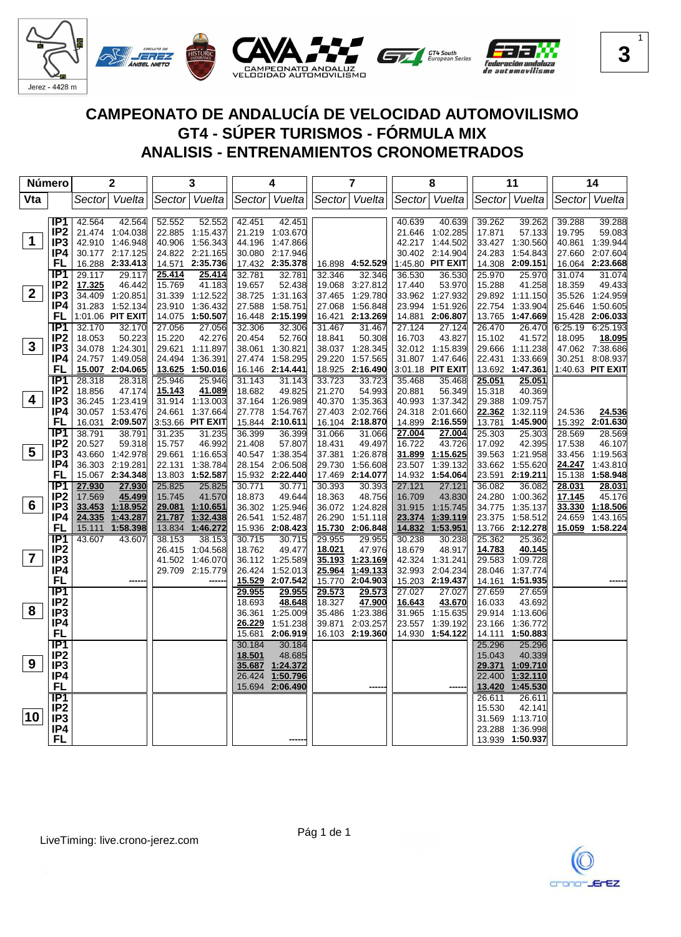

| Número          |                  |                  | 2                         |        | 3                         |        | 4                         |                  | $\overline{7}$     |                  | 8                |        | 11                        |        | 14                        |
|-----------------|------------------|------------------|---------------------------|--------|---------------------------|--------|---------------------------|------------------|--------------------|------------------|------------------|--------|---------------------------|--------|---------------------------|
| Vta             |                  | Sectorl          | Vuelta                    |        | Sector Vuelta             |        | Sector Vuelta             |                  | Sector Vuelta      |                  | Sector Vuelta    | Sector | Vuelta                    | Sector | Vuelta                    |
|                 |                  |                  |                           |        |                           |        |                           |                  |                    |                  |                  |        |                           |        |                           |
|                 | IP <sub>1</sub>  | 42.564           | 42.564                    | 52.552 | 52.552                    | 42.451 | 42.451                    |                  |                    | 40.639           | 40.639           | 39.262 | 39.262                    | 39.288 | 39.288                    |
|                 | IP <sub>2</sub>  |                  | 21.474 1:04.038           |        | 22.885 1:15.437           |        | 21.219 1:03.670           |                  |                    |                  | 21.646 1:02.285  | 17.871 | 57.133                    | 19.795 | 59.083                    |
| $\mathbf 1$     | IP <sub>3</sub>  |                  | 42.910 1:46.948           |        | 40.906 1:56.343           |        | 44.196 1:47.866           |                  |                    |                  | 42.217 1:44.502  |        | 33.427 1:30.560           |        | 40.861 1:39.944           |
|                 | IP4              |                  | 30.177 2:17.125           |        | 24.822 2:21.165           |        | 30.080 2:17.946           |                  |                    |                  | 30.402 2:14.904  | 24.283 | 1:54.843                  |        | 27.660 2:07.604           |
|                 | FL               |                  | 16.288 2:33.413           |        | 14.571 2:35.736           |        | 17.432 2:35.378           |                  | 16.898 4:52.529    |                  | 1:45.80 PIT EXIT |        | 14.308 2:09.151           |        | 16.064 2:23.668           |
|                 | IP1              | 29.117           | 29.117                    | 25.414 | 25.414                    | 32.781 | 32.781                    | 32.346           | 32.346             | 36.530           | 36.530           | 25.970 | 25.970                    | 31.074 | 31.074                    |
|                 | IP <sub>2</sub>  | 17.325           | 46.442                    | 15.769 | 41.183                    | 19.657 | 52.438                    | 19.068           | 3:27.812           | 17.440           | 53.970           | 15.288 | 41.258                    | 18.359 | 49.433                    |
| 2 <sup>1</sup>  | IP3              |                  | 34.409 1:20.851           |        | 31.339 1:12.522           |        | 38.725 1:31.163           | 37.465           | 1:29.780           |                  | 33.962 1:27.932  |        | 29.892 1:11.150           |        | 35.526 1:24.959           |
|                 | IP4              |                  | 31.283 1:52.134           |        | 23.910 1:36.432           |        | 27.588 1:58.751           | 27.068           | 1:56.848           |                  | 23.994 1:51.926  |        | 22.754 1:33.904           |        | 25.646 1:50.605           |
|                 | FL               |                  | 1:01.06 PIT EXIT          |        | 14.075 1:50.507           |        | 16.448 2:15.199           |                  | 16.421 2:13.269    |                  | 14.881 2:06.807  |        | 13.765 1:47.669           |        | 15.428 2:06.033           |
|                 | IP1              | 32.170           | 32.170                    | 27.056 | 27.056                    | 32.306 | 32.306                    | 31.467           | 31.467             | 27.124           | 27.124           | 26.470 | 26.470                    |        | 6:25.19 6:25.193          |
|                 | IP <sub>2</sub>  | 18.053           | 50.223                    | 15.220 | 42.276                    | 20.454 | 52.760                    | 18.841           | 50.308             | 16.703           | 43.827           | 15.102 | 41.572                    | 18.095 | 18.095                    |
| $3\phantom{a}$  | IP3              |                  | 34.078 1:24.301           |        | 29.621 1:11.897           |        | 38.061 1:30.821           | 38.037           | 1:28.345           |                  | 32.012 1:15.839  |        | 29.666 1:11.238           |        | 47.062 7:38.686           |
|                 | IP4              |                  | 24.757 1:49.058           |        | 24.494 1:36.391           |        | 27.474 1:58.295           | 29.220           | 1:57.565           |                  | 31.807 1:47.646  |        | 22.431 1:33.669           |        | 30.251 8:08.937           |
|                 | FL               |                  | 15.007 2:04.065           |        | 13.625 1:50.016           |        | 16.146 2:14.441           |                  | 18.925 2:16.490    |                  | 3:01.18 PIT EXIT |        | 13.692 1:47.361           |        | 1:40.63 PIT EXIT          |
|                 | IP <sub>1</sub>  | 28.318           | 28.318                    | 25.946 | 25.946                    | 31.143 | 31.143                    | 33.723           | 33.723             | 35.468           | 35.468           | 25.051 | 25.051                    |        |                           |
| 4               | IP <sub>2</sub>  | 18.856           | 47.174                    | 15.143 | 41.089                    | 18.682 | 49.825                    | 21.270           | 54.993             | 20.881           | 56.349           | 15.318 | 40.369                    |        |                           |
|                 | IP <sub>3</sub>  |                  | 36.245 1:23.419           |        | 31.914 1:13.003           |        | 37.164 1:26.989           |                  | 40.370 1:35.363    |                  | 40.993 1:37.342  | 29.388 | 1:09.757                  |        |                           |
|                 | IP4<br>FL        |                  | 30.057 1:53.476           |        | 24.661 1:37.664           |        | 27.778 1:54.767           |                  | 27.403 2:02.766    |                  | 24.318 2:01.660  | 22.362 | 1:32.119                  | 24.536 | 24.536                    |
|                 | $\overline{IP1}$ |                  | 16.031 2:09.507           |        | 3:53.66 PIT EXIT          |        | 15.844 2:10.611           |                  | 16.104 2:18.870    |                  | 14.899 2:16.559  | 13.781 | 1:45.900                  |        | 15.392 2:01.630           |
|                 | IP <sub>2</sub>  | 38.791<br>20.527 | 38.791                    | 31.235 | 31.235                    | 36.399 | 36.399                    | 31.066           | 31.066             | 27.004<br>16.722 | 27.004<br>43.726 | 25.303 | 25.303                    | 28.569 | 28.569                    |
| $5\phantom{.0}$ | IP <sub>3</sub>  |                  | 59.318<br>43.660 1:42.978 | 15.757 | 46.992<br>29.661 1:16.653 | 21.408 | 57.807<br>40.547 1:38.354 | 18.431<br>37.381 | 49.497<br>1:26.878 |                  | 31.899 1:15.625  | 17.092 | 42.395<br>39.563 1:21.958 | 17.538 | 46.107<br>33.456 1:19.563 |
|                 | IP4              |                  | 36.303 2:19.281           |        | 22.131 1:38.784           |        | 28.154 2:06.508           | 29.730           | 1:56.608           |                  | 23.507 1:39.132  |        | 33.662 1:55.620           | 24.247 | 1:43.810                  |
|                 | FL               |                  | 15.067 2:34.348           |        | 13.803 1:52.587           |        | 15.932 2:22.440           |                  | 17.469 2:14.077    |                  | 14.932 1:54.064  |        | 23.591 2:19.211           | 15.138 | 1:58.948                  |
|                 | IP <sub>1</sub>  | 27.930           | 27.930                    | 25.825 | 25.825                    | 30.771 | 30.771                    | 30.393           | 30.393             | 27.121           | 27.121           | 36.082 | 36.082                    | 28.031 | 28.031                    |
|                 | IP <sub>2</sub>  | 17.569           | 45.499                    | 15.745 | 41.570                    | 18.873 | 49.644                    | 18.363           | 48.756             | 16.709           | 43.830           |        | 24.280 1:00.362           | 17.145 | 45.176                    |
| 6               | IP <sub>3</sub>  |                  | 33.453 1:18.952           |        | 29.081 1:10.651           |        | 36.302 1:25.946           |                  | 36.072 1:24.828    | 31.915           | 1:15.745         |        | 34.775 1:35.137           | 33.330 | 1:18.506                  |
|                 | IP4              | 24.335           | 1:43.287                  | 21.787 | 1:32.438                  |        | 26.541 1:52.487           | 26.290           | 1:51.118           | 23.374           | 1:39.119         |        | 23.375 1:58.512           | 24.659 | 1:43.165                  |
|                 | FL               | 15.111           | 1:58.398                  | 13.834 | 1:46.272                  |        | 15.936 2:08.423           | <u>15.730</u>    | 2:06.848           | 14.832           | 1:53.951         |        | 13.766 2:12.278           | 15.059 | 1:58.224                  |
|                 | IP1              | 43.607           | 43.607                    | 38.153 | 38.153                    | 30.715 | 30.715                    | 29.955           | 29.955             | 30.238           | 30.238           | 25.362 | 25.362                    |        |                           |
|                 | IP <sub>2</sub>  |                  |                           | 26.415 | 1:04.568                  | 18.762 | 49.477                    | 18.021           | 47.976             | 18.679           | 48.917           | 14.783 | 40.145                    |        |                           |
| $\overline{7}$  | IP <sub>3</sub>  |                  |                           |        | 41.502 1:46.070           |        | 36.112 1:25.589           | 35.193           | 1:23.169           |                  | 42.324 1:31.241  |        | 29.583 1:09.728           |        |                           |
|                 | IP4              |                  |                           |        | 29.709 2:15.779           | 26.424 | 1:52.013                  | 25.964           | 1:49.133           |                  | 32.993 2:04.234  |        | 28.046 1:37.774           |        |                           |
|                 | <b>FL</b>        |                  |                           |        |                           | 15.529 | 2:07.542                  | 15.770           | 2:04.903           |                  | 15.203 2:19.437  | 14.161 | 1:51.935                  |        |                           |
|                 | $\overline{IP1}$ |                  |                           |        |                           | 29.955 | 29.955                    | 29.573           | 29.573             | 27.027           | 27.027           | 27.659 | 27.659                    |        |                           |
|                 | IP <sub>2</sub>  |                  |                           |        |                           | 18.693 | 48.648                    | 18.327           | 47.900             | 16.643           | 43.670           | 16.033 | 43.692                    |        |                           |
| 8               | IP <sub>3</sub>  |                  |                           |        |                           |        | 36.361 1:25.009           | 35.486           | 1:23.386           | 31.965           | 1:15.635         |        | 29.914 1:13.606           |        |                           |
|                 | IP4              |                  |                           |        |                           | 26.229 | 1:51.238                  | 39.871           | 2:03.257           |                  | 23.557 1:39.192  |        | 23.166 1:36.772           |        |                           |
|                 | <b>FL</b>        |                  |                           |        |                           | 15.681 | 2:06.919                  |                  | 16.103 2:19.360    |                  | 14.930 1:54.122  | 14.111 | 1:50.883                  |        |                           |
|                 | $\overline{IP1}$ |                  |                           |        |                           | 30.184 | 30.184                    |                  |                    |                  |                  | 25.296 | 25.296                    |        |                           |
|                 | IP <sub>2</sub>  |                  |                           |        |                           | 18.501 | 48.685                    |                  |                    |                  |                  | 15.043 | 40.339                    |        |                           |
| 9               | IP <sub>3</sub>  |                  |                           |        |                           | 35.687 | 1:24.372                  |                  |                    |                  |                  |        | 29.371 1:09.710           |        |                           |
|                 | IP4              |                  |                           |        |                           | 26.424 | 1:50.796                  |                  |                    |                  |                  | 22.400 | 1:32.110                  |        |                           |
|                 | <b>FL</b>        |                  |                           |        |                           |        | 15.694 2:06.490           |                  |                    |                  |                  | 13.420 | 1:45.530                  |        |                           |
|                 | $\overline{IP1}$ |                  |                           |        |                           |        |                           |                  |                    |                  |                  | 26.611 | 26.611                    |        |                           |
| 10              | IP <sub>2</sub>  |                  |                           |        |                           |        |                           |                  |                    |                  |                  | 15.530 | 42.141                    |        |                           |
|                 | IP <sub>3</sub>  |                  |                           |        |                           |        |                           |                  |                    |                  |                  | 31.569 | 1:13.710                  |        |                           |
|                 | IP4              |                  |                           |        |                           |        |                           |                  |                    |                  |                  |        | 23.288 1:36.998           |        |                           |
|                 | FL               |                  |                           |        |                           |        |                           |                  |                    |                  |                  |        | 13.939 1:50.937           |        |                           |

Pág 1 de 1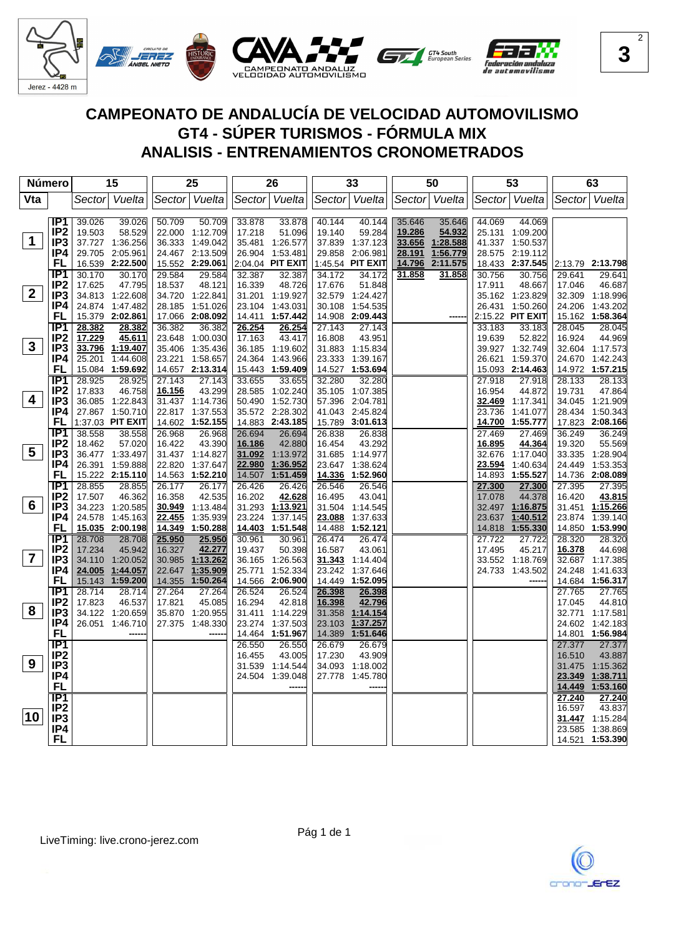

| Número          |                        |                  | 15               |                  | 25               |                  | 26               |                  | 33               |        | 50            |                  | 53               |                  | 63               |
|-----------------|------------------------|------------------|------------------|------------------|------------------|------------------|------------------|------------------|------------------|--------|---------------|------------------|------------------|------------------|------------------|
| Vta             |                        |                  | Sector Vuelta    |                  | Sector Vuelta    |                  | Sector Vuelta    |                  | Sector Vuelta    |        | Sector Vuelta |                  | Sector Vuelta    |                  | Sector Vuelta    |
|                 |                        |                  |                  |                  |                  |                  |                  |                  |                  |        |               |                  |                  |                  |                  |
|                 | IP1                    | 39.026           | 39.026           | 50.709           | 50.709           | 33.878           | 33.878           | 40.144           | 40.144           | 35.646 | 35.646        | 44.069           | 44.069           |                  |                  |
|                 | IP <sub>2</sub>        | 19.503           | 58.529           |                  | 22.000 1:12.709  | 17.218           | 51.096           | 19.140           | 59.284           | 19.286 | 54.932        |                  | 25.131 1:09.200  |                  |                  |
| $\mathbf 1$     | IP <sub>3</sub>        |                  | 37.727 1:36.256  |                  | 36.333 1:49.042  |                  | 35.481 1:26.577  |                  | 37.839 1:37.123  | 33.656 | 1:28.588      |                  | 41.337 1:50.537  |                  |                  |
|                 | IP4                    |                  | 29.705 2:05.961  |                  | 24.467 2:13.509  |                  | 26.904 1:53.481  |                  | 29.858 2:06.981  | 28.191 | 1:56.779      |                  | 28.575 2:19.112  |                  |                  |
|                 | FL                     |                  | 16.539 2:22.500  |                  | 15.552 2:29.061  |                  | 2:04.04 PIT EXIT |                  | 1:45.54 PIT EXIT | 14.796 | 2:11.575      |                  | 18.433 2:37.545  |                  | 2:13.79 2:13.798 |
|                 | IP1                    | 30.170           | 30.170           | 29.584           | 29.584           | 32.387           | 32.387           | 34.172           | 34.172           | 31.858 | 31.858        | 30.756           | 30.756           | 29.641           | 29.641           |
|                 | IP <sub>2</sub>        | 17.625           | 47.795           | 18.537           | 48.121           | 16.339           | 48.726           | 17.676           | 51.848           |        |               | 17.911           | 48.667           | 17.046           | 46.687           |
| $\mathbf{2}$    | IP <sub>3</sub>        |                  | 34.813 1:22.608  |                  | 34.720 1:22.841  |                  | 31.201 1:19.927  |                  | 32.579 1:24.427  |        |               |                  | 35.162 1:23.829  |                  | 32.309 1:18.996  |
|                 | IP4                    |                  | 24.874 1:47.482  |                  | 28.185 1:51.026  |                  | 23.104 1:43.031  |                  | 30.108 1:54.535  |        |               |                  | 26.431 1:50.260  |                  | 24.206 1:43.202  |
|                 | FL                     |                  | 15.379 2:02.861  |                  | 17.066 2:08.092  |                  | 14.411 1:57.442  |                  | 14.908 2:09.443  |        |               |                  | 2:15.22 PIT EXIT |                  | 15.162 1:58.364  |
|                 | IP1                    | 28.382           | 28.382           | 36.382           | 36.382           | 26.254           | 26.254           | 27.143           | 27.143           |        |               | 33.183           | 33.183           | 28.045           | 28.045           |
|                 | IP <sub>2</sub>        | 17.229           | 45.611           |                  | 23.648 1:00.030  | 17.163           | 43.417           | 16.808           | 43.951           |        |               | 19.639           | 52.822           | 16.924           | 44.969           |
| $\mathbf{3}$    | IP3                    |                  | 33.796 1:19.407  |                  | 35.406 1:35.436  |                  | 36.185 1:19.602  |                  | 31.883 1:15.834  |        |               |                  | 39.927 1:32.749  |                  | 32.604 1:17.573  |
|                 | IP4                    |                  | 25.201 1:44.608  |                  | 23.221 1:58.657  | 24.364           | 1:43.966         |                  | 23.333 1:39.167  |        |               |                  | 26.621 1:59.370  |                  | 24.670 1:42.243  |
|                 | FL                     |                  | 15.084 1:59.692  |                  | 14.657 2:13.314  |                  | 15.443 1:59.409  |                  | 14.527 1:53.694  |        |               |                  | 15.093 2:14.463  |                  | 14.972 1:57.215  |
|                 | IP1                    | 28.925           | 28.925           | 27.143           | 27.143           | 33.655           | 33.655           | 32.280           | 32.280           |        |               | 27.918           | 27.918           | 28.133           | 28.133           |
|                 | IP <sub>2</sub>        | 17.833           | 46.758           | 16.156           | 43.299           | 28.585           | 1:02.240         |                  | 35.105 1:07.385  |        |               | 16.954           | 44.872           | 19.731           | 47.864           |
| 4               | IP <sub>3</sub>        |                  | 36.085 1:22.843  |                  | 31.437 1:14.736  |                  | 50.490 1:52.730  |                  | 57.396 2:04.781  |        |               |                  | 32.469 1:17.341  |                  | 34.045 1:21.909  |
|                 | IP4                    |                  | 27.867 1:50.710  |                  | 22.817 1:37.553  |                  | 35.572 2:28.302  |                  | 41.043 2:45.824  |        |               |                  | 23.736 1:41.077  |                  | 28.434 1:50.343  |
|                 | FL                     |                  | 1:37.03 PIT EXIT |                  | 14.602 1:52.155  |                  | 14.883 2:43.185  |                  | 15.789 3:01.613  |        |               |                  | 14.700 1:55.777  |                  | 17.823 2:08.166  |
|                 | IP1                    | 38.558           | 38.558           | 26.968           | 26.968           | 26.694           | 26.694           | 26.838           | 26.838           |        |               | 27.469           | 27.469           | 36.249           | 36.249           |
| $5\phantom{.0}$ | IP <sub>2</sub>        | 18.462           | 57.020           | 16.422           | 43.390           | 16.186           | 42.880           | 16.454           | 43.292           |        |               | 16.895           | 44.364           | 19.320           | 55.569           |
|                 | IP3                    |                  | 36.477 1:33.497  |                  | 31.437 1:14.827  | 31.092           | 1:13.972         |                  | 31.685 1:14.977  |        |               |                  | 32.676 1:17.040  |                  | 33.335 1:28.904  |
|                 | IP4                    |                  | 26.391 1:59.888  |                  | 22.820 1:37.647  | 22.980           | 1:36.952         |                  | 23.647 1:38.624  |        |               | 23.594           | 1:40.634         |                  | 24.449 1:53.353  |
|                 | FL                     |                  | 15.222 2:15.110  |                  | 14.563 1:52.210  | 14.507           | 1:51.459         |                  | 14.336 1:52.960  |        |               |                  | 14.893 1:55.527  |                  | 14.736 2:08.089  |
|                 | IP1<br>IP <sub>2</sub> | 28.855<br>17.507 | 28.855<br>46.362 | 26.177<br>16.358 | 26.177<br>42.535 | 26.426<br>16.202 | 26.426<br>42.628 | 26.546<br>16.495 | 26.546<br>43.041 |        |               | 27.300<br>17.078 | 27.300<br>44.378 | 27.395<br>16.420 | 27.395<br>43.815 |
| 6               | IP <sub>3</sub>        |                  | 34.223 1:20.585  |                  | 30.949 1:13.484  |                  | 31.293 1:13.921  |                  | 31.504 1:14.545  |        |               |                  | 32.497 1:16.875  |                  | 31.451 1:15.266  |
|                 | IP4                    |                  | 24.578 1:45.163  | 22.455           | 1:35.939         | 23.224           | 1:37.145         | 23.088           | 1:37.633         |        |               | 23.637           | 1:40.512         |                  | 23.874 1:39.140  |
|                 | FL                     |                  | 15.035 2:00.198  | 14.349           | 1:50.288         | 14.403           | 1:51.548         | 14.488           | 1:52.121         |        |               | 14.818           | 1:55.330         |                  | 14.850 1:53.990  |
|                 | IP1                    | 28.708           | 28.708           | 25.950           | 25.950           | 30.961           | 30.961           | 26.474           | 26.474           |        |               | 27.722           | 27.722           | 28.320           | 28.320           |
|                 | IP <sub>2</sub>        | 17.234           | 45.942           | 16.327           | 42.277           | 19.437           | 50.398           | 16.587           | 43.061           |        |               | 17.495           | 45.217           | 16.378           | 44.698           |
| $\overline{7}$  | IP3                    |                  | 34.110 1:20.052  |                  | 30.985 1:13.262  |                  | 36.165 1:26.563  |                  | 31.343 1:14.404  |        |               |                  | 33.552 1:18.769  |                  | 32.687 1:17.385  |
|                 | IP4                    |                  | 24.005 1:44.057  | 22.647           | 1:35.909         | 25.771           | 1:52.334         | 23.242           | 1:37.646         |        |               |                  | 24.733 1:43.502  |                  | 24.248 1:41.633  |
|                 | <b>FL</b>              |                  | 15.143 1:59.200  | 14.355           | 1:50.264         | 14.566           | 2:06.900         |                  | 14.449 1:52.095  |        |               |                  |                  |                  | 14.684 1:56.317  |
|                 | IP1                    | 28.714           | 28.714           | 27.264           | 27.264           | 26.524           | 26.524           | 26.398           | 26.398           |        |               |                  |                  | 27.765           | 27.765           |
|                 | IP <sub>2</sub>        | 17.823           | 46.537           | 17.821           | 45.085           | 16.294           | 42.818           | 16.398           | 42.796           |        |               |                  |                  | 17.045           | 44.810           |
| 8               | IP <sub>3</sub>        |                  | 34.122 1:20.659  |                  | 35.870 1:20.955  | 31.411           | 1:14.229         |                  | 31.358 1:14.154  |        |               |                  |                  |                  | 32.771 1:17.581  |
|                 | IP4                    |                  | 26.051 1:46.710  |                  | 27.375 1:48.330  | 23.274           | 1:37.503         |                  | 23.103 1:37.257  |        |               |                  |                  |                  | 24.602 1:42.183  |
|                 | <b>FL</b>              |                  |                  |                  |                  | 14.464           | 1:51.967         |                  | 14.389 1:51.646  |        |               |                  |                  |                  | 14.801 1:56.984  |
|                 | $\overline{IP1}$       |                  |                  |                  |                  | 26.550           | 26.550           | 26.679           | 26.679           |        |               |                  |                  | 27.377           | 27.377           |
|                 | IP <sub>2</sub>        |                  |                  |                  |                  | 16.455           | 43.005           | 17.230           | 43.909           |        |               |                  |                  | 16.510           | 43.887           |
| 9               | IP <sub>3</sub>        |                  |                  |                  |                  | 31.539           | 1:14.544         |                  | 34.093 1:18.002  |        |               |                  |                  |                  | 31.475 1:15.362  |
|                 | IP4                    |                  |                  |                  |                  | 24.504           | 1:39.048         |                  | 27.778 1:45.780  |        |               |                  |                  | 23.349           | <u>1:38.711</u>  |
|                 | <b>FL</b>              |                  |                  |                  |                  |                  |                  |                  |                  |        |               |                  |                  |                  | 14.449 1:53.160  |
|                 | $\overline{IP1}$       |                  |                  |                  |                  |                  |                  |                  |                  |        |               |                  |                  | 27.240           | 27.240           |
| 10              | IP <sub>2</sub>        |                  |                  |                  |                  |                  |                  |                  |                  |        |               |                  |                  | 16.597           | 43.837           |
|                 | IP <sub>3</sub>        |                  |                  |                  |                  |                  |                  |                  |                  |        |               |                  |                  |                  | 31.447 1:15.284  |
|                 | IP4                    |                  |                  |                  |                  |                  |                  |                  |                  |        |               |                  |                  |                  | 23.585 1:38.869  |
|                 | FL                     |                  |                  |                  |                  |                  |                  |                  |                  |        |               |                  |                  |                  | 14.521 1:53.390  |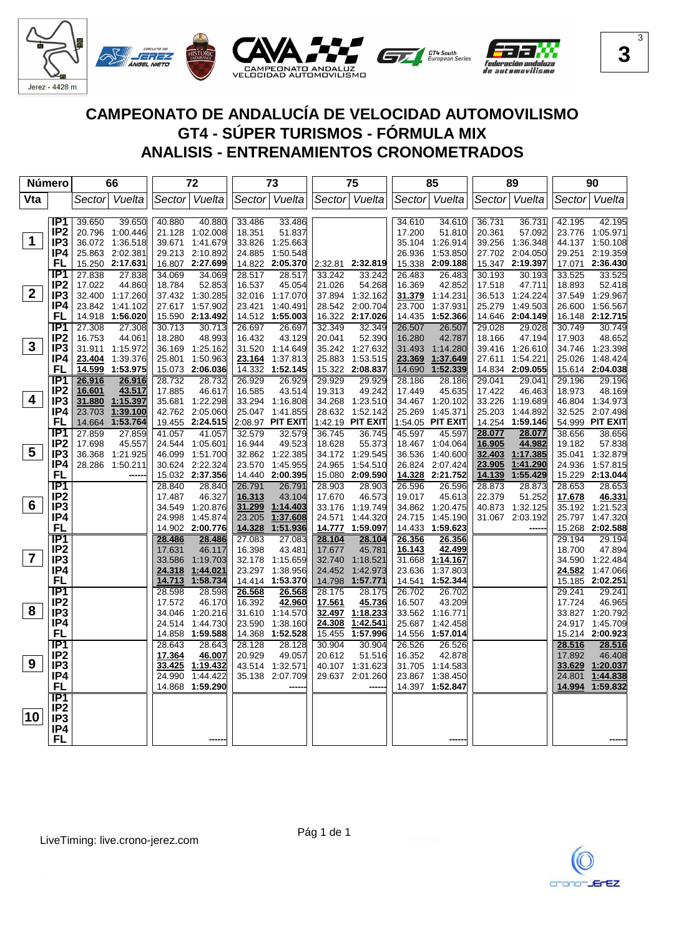

| Número          |                        |        | 66              |                  | 72               |                  | 73               |                  | 75               |                  | 85               |                  | 89                   |                  | 90               |
|-----------------|------------------------|--------|-----------------|------------------|------------------|------------------|------------------|------------------|------------------|------------------|------------------|------------------|----------------------|------------------|------------------|
| Vta             |                        |        | Sector Vuelta   |                  | Sector Vuelta    |                  | Sector Vuelta    |                  | Sector Vuelta    |                  | Sector Vuelta    |                  | Sector Vuelta        |                  | Sector Vuelta    |
|                 |                        |        |                 |                  |                  |                  |                  |                  |                  |                  |                  |                  |                      |                  |                  |
|                 | IP1                    | 39.650 | 39.650          | 40.880           | 40.880           | 33.486           | 33.486           |                  |                  | 34.610           | 34.610           | 36.731           | 36.731               | 42.195           | 42.195           |
|                 | IP <sub>2</sub>        |        | 20.796 1:00.446 |                  | 21.128 1:02.008  | 18.351           | 51.837           |                  |                  | 17.200           | 51.810           | 20.361           | 57.092               |                  | 23.776 1:05.971  |
| $\mathbf 1$     | IP <sub>3</sub>        |        | 36.072 1:36.518 | 39.671           | 1:41.679         |                  | 33.826 1:25.663  |                  |                  |                  | 35.104 1:26.914  |                  | 39.256 1:36.348      |                  | 44.137 1:50.108  |
|                 | IP4                    |        | 25.863 2:02.381 |                  | 29.213 2:10.892  | 24.885           | 1:50.548         |                  |                  |                  | 26.936 1:53.850  |                  | 27.702 2:04.050      |                  | 29.251 2:19.359  |
|                 | FL                     |        | 15.250 2:17.631 |                  | 16.807 2:27.699  |                  | 14.822 2:05.370  |                  | 2:32.81 2:32.819 |                  | 15.338 2:09.188  |                  | 15.347 2:19.397      |                  | 17.071 2:36.430  |
|                 | IP <sub>1</sub>        | 27.838 | 27.838          | 34.069           | 34.069           | 28.517           | 28.517           | 33.242           | 33.242           | 26.483           | 26.483           | 30.193           | 30.193               | 33.525           | 33.525           |
|                 | IP <sub>2</sub>        | 17.022 | 44.860          | 18.784           | 52.853           | 16.537           | 45.054           | 21.026           | 54.268           | 16.369           | 42.852           | 17.518           | 47.711               | 18.893           | 52.418           |
| 2 <sup>1</sup>  | IP <sub>3</sub>        |        | 32.400 1:17.260 |                  | 37.432 1:30.285  |                  | 32.016 1:17.070  |                  | 37.894 1:32.162  |                  | 31.379 1:14.231  |                  | 36.513 1:24.224      |                  | 37.549 1:29.967  |
|                 | IP4                    |        | 23.842 1:41.102 |                  | 27.617 1:57.902  |                  | 23.421 1:40.491  |                  | 28.542 2:00.704  | 23.700           | 1:37.931         |                  | 25.279 1:49.503      |                  | 26.600 1:56.567  |
|                 | FL                     |        | 14.918 1:56.020 |                  | 15.590 2:13.492  |                  | 14.512 1:55.003  |                  | 16.322 2:17.026  |                  | 14.435 1:52.366  |                  | 14.646 2:04.149      |                  | 16.148 2:12.715  |
|                 | IP1                    | 27.308 | 27.308          | 30.713           | 30.713           | 26.697           | 26.697           | 32.349           | 32.349           | 26.507           | 26.507           | 29.028           | 29.028               | 30.749           | 30.749           |
|                 | IP <sub>2</sub>        | 16.753 | 44.061          | 18.280           | 48.993           | 16.432           | 43.129           | 20.041           | 52.390           | 16.280           | 42.787           | 18.166           | 47.194               | 17.903           | 48.652           |
| $\mathbf{3}$    | IP <sub>3</sub>        |        | 31.911 1:15.972 |                  | 36.169 1:25.162  |                  | 31.520 1:14.649  |                  | 35.242 1:27.632  |                  | 31.493 1:14.280  |                  | 39.416 1:26.610      |                  | 34.746 1:23.398  |
|                 | IP4                    | 23.404 | 1:39.376        |                  | 25.801 1:50.963  |                  | 23.164 1:37.813  |                  | 25.883 1:53.515  | 23.369           | 1:37.649         |                  | 27.611 1:54.221      |                  | 25.026 1:48.424  |
|                 | FL                     |        | 14.599 1:53.975 |                  | 15.073 2:06.036  | 14.332           | 1:52.145         |                  | 15.322 2:08.837  | 14.690           | 1:52.339         |                  | 14.834 2:09.055      |                  | 15.614 2:04.038  |
|                 | IP1                    | 26.916 | 26.916          | 28.732           | 28.732           | 26.929           | 26.929           | 29.929           | 29.929           | 28.186           | 28.186           | 29.041           | 29.041               | 29.196           | 29.196           |
|                 | IP <sub>2</sub>        | 16.601 | 43.517          | 17.885           | 46.617           | 16.585           | 43.514           | 19.313           | 49.242           | 17.449           | 45.635           | 17.422           | 46.463               | 18.973           | 48.169           |
| 4               | IP <sub>3</sub>        |        | 31.880 1:15.397 |                  | 35.681 1:22.298  |                  | 33.294 1:16.808  |                  | 34.268 1:23.510  |                  | 34.467 1:20.102  |                  | 33.226 1:19.689      |                  | 46.804 1:34.973  |
|                 | IP4                    |        | 23.703 1:39.100 |                  | 42.762 2:05.060  |                  | 25.047 1:41.855  |                  | 28.632 1:52.142  |                  | 25.269 1:45.371  |                  | 25.203 1:44.892      |                  | 32.525 2:07.498  |
|                 | FL                     |        | 14.664 1:53.764 |                  | 19.455 2:24.515  |                  | 2:08.97 PIT EXIT |                  | 1:42.19 PIT EXIT |                  | 1:54.05 PIT EXIT |                  | 14.254 1:59.146      |                  | 54.999 PIT EXIT  |
|                 | IP1                    | 27.859 | 27.859          | 41.057           | 41.057           | 32.579           | 32.579           | 36.745           | 36.745           | 45.597           | 45.597           | 28.077           | 28.077               | 38.656           | 38.656           |
| $5\phantom{.0}$ | IP <sub>2</sub>        | 17.698 | 45.557          |                  | 24.544 1:05.601  | 16.944           | 49.523           | 18.628           | 55.373           |                  | 18.467 1:04.064  | 16.905           | 44.982               | 19.182           | 57.838           |
|                 | IP3                    |        | 36.368 1:21.925 |                  | 46.099 1:51.700  |                  | 32.862 1:22.385  |                  | 34.172 1:29.545  |                  | 36.536 1:40.600  |                  | 32.403 1:17.385      |                  | 35.041 1:32.879  |
|                 | IP4                    |        | 28.286 1:50.211 |                  | 30.624 2:22.324  | 23.570           | 1:45.955         |                  | 24.965 1:54.510  |                  | 26.824 2:07.424  | 23.905           | 1:41.290<br>1:55.429 |                  | 24.936 1:57.815  |
|                 | FL<br>$\overline{IP1}$ |        |                 |                  | 15.032 2:37.356  |                  | 14.440 2:00.395  |                  | 15.080 2:09.590  |                  | 14.328 2:21.752  | 14.139           |                      |                  | 15.229 2:13.044  |
|                 | IP <sub>2</sub>        |        |                 | 28.840<br>17.487 | 28.840<br>46.327 | 26.791<br>16.313 | 26.791<br>43.104 | 28.903<br>17.670 | 28.903<br>46.573 | 26.596<br>19.017 | 26.596<br>45.613 | 28.873<br>22.379 | 28.873<br>51.252     | 28.653<br>17.678 | 28.653<br>46.331 |
| 6               | IP <sub>3</sub>        |        |                 |                  | 34.549 1:20.876  | 31.299           | 1:14.403         |                  | 33.176 1:19.749  |                  | 34.862 1:20.475  |                  | 40.873 1:32.125      |                  | 35.192 1:21.523  |
|                 | IP4                    |        |                 |                  | 24.998 1:45.874  | 23.205           | 1:37.608         | 24.571           | 1:44.320         |                  | 24.715 1:45.190  |                  | 31.067 2:03.192      |                  | 25.797 1:47.320  |
|                 | <b>FL</b>              |        |                 |                  | 14.902 2:00.776  | 14.328           | 1:51.936         | 14.777           | 1:59.097         |                  | 14.433 1:59.623  |                  |                      |                  | 15.268 2:02.588  |
|                 | IP <sub>1</sub>        |        |                 | 28.486           | 28.486           | 27.083           | 27.083           | 28.104           | 28.104           | 26.356           | 26.356           |                  |                      | 29.194           | 29.194           |
|                 | IP <sub>2</sub>        |        |                 | 17.631           | 46.117           | 16.398           | 43.481           | 17.677           | 45.781           | 16.143           | 42.499           |                  |                      | 18.700           | 47.894           |
| $\overline{7}$  | IP3                    |        |                 |                  | 33.586 1:19.703  |                  | 32.178 1:15.659  |                  | 32.740 1:18.521  | 31.668           | 1:14.167         |                  |                      |                  | 34.590 1:22.484  |
|                 | IP4                    |        |                 | 24.318           | 1:44.021         |                  | 23.297 1:38.956  | 24.452           | 1:42.973         |                  | 23.636 1:37.803  |                  |                      | 24.582           | 1:47.066         |
|                 | <b>FL</b>              |        |                 | 14.713           | 1:58.734         |                  | 14.414 1:53.370  | 14.798           | 1:57.771         | 14.541           | 1:52.344         |                  |                      |                  | 15.185 2:02.251  |
|                 | $\overline{IP1}$       |        |                 | 28.598           | 28.598           | 26.568           | 26.568           | 28.175           | 28.175           | 26.702           | 26.702           |                  |                      | 29.241           | 29.241           |
|                 | IP <sub>2</sub>        |        |                 | 17.572           | 46.170           | 16.392           | 42.960           | 17.561           | 45.736           | 16.507           | 43.209           |                  |                      | 17.724           | 46.965           |
| 8               | IP3                    |        |                 |                  | 34.046 1:20.216  |                  | 31.610 1:14.570  |                  | 32.497 1:18.233  |                  | 33.562 1:16.771  |                  |                      |                  | 33.827 1:20.792  |
|                 | IP4                    |        |                 | 24.514           | 1:44.730         | 23.590           | 1:38.160         | 24.308           | 1:42.541         |                  | 25.687 1:42.458  |                  |                      |                  | 24.917 1:45.709  |
|                 | <b>FL</b>              |        |                 | 14.858           | 1:59.588         | 14.368           | 1:52.528         | 15.455           | 1:57.996         |                  | 14.556 1:57.014  |                  |                      |                  | 15.214 2:00.923  |
|                 | $\overline{IP1}$       |        |                 | 28.643           | 28.643           | 28.128           | 28.128           | 30.904           | 30.904           | 26.526           | 26.526           |                  |                      | 28.516           | 28.516           |
|                 | IP <sub>2</sub>        |        |                 | 17.364           | 46.007           | 20.929           | 49.057           | 20.612           | 51.516           | 16.352           | 42.878           |                  |                      | 17.892           | 46.408           |
| 9               | IP3                    |        |                 | 33.425           | 1:19.432         |                  | 43.514 1:32.571  |                  | 40.107 1:31.623  |                  | 31.705 1:14.583  |                  |                      |                  | 33.629 1:20.037  |
|                 | IP4                    |        |                 | 24.990           | 1:44.422         |                  | 35.138 2:07.709  |                  | 29.637 2:01.260  |                  | 23.867 1:38.450  |                  |                      |                  | 24.801 1:44.838  |
|                 | <b>FL</b>              |        |                 |                  | 14.868 1:59.290  |                  |                  |                  |                  |                  | 14.397 1:52.847  |                  |                      |                  | 14.994 1:59.832  |
|                 | $\overline{IP1}$       |        |                 |                  |                  |                  |                  |                  |                  |                  |                  |                  |                      |                  |                  |
|                 | IP <sub>2</sub>        |        |                 |                  |                  |                  |                  |                  |                  |                  |                  |                  |                      |                  |                  |
| 10              | IP <sub>3</sub>        |        |                 |                  |                  |                  |                  |                  |                  |                  |                  |                  |                      |                  |                  |
|                 | IP4                    |        |                 |                  |                  |                  |                  |                  |                  |                  |                  |                  |                      |                  |                  |
|                 | <b>FL</b>              |        |                 |                  |                  |                  |                  |                  |                  |                  |                  |                  |                      |                  |                  |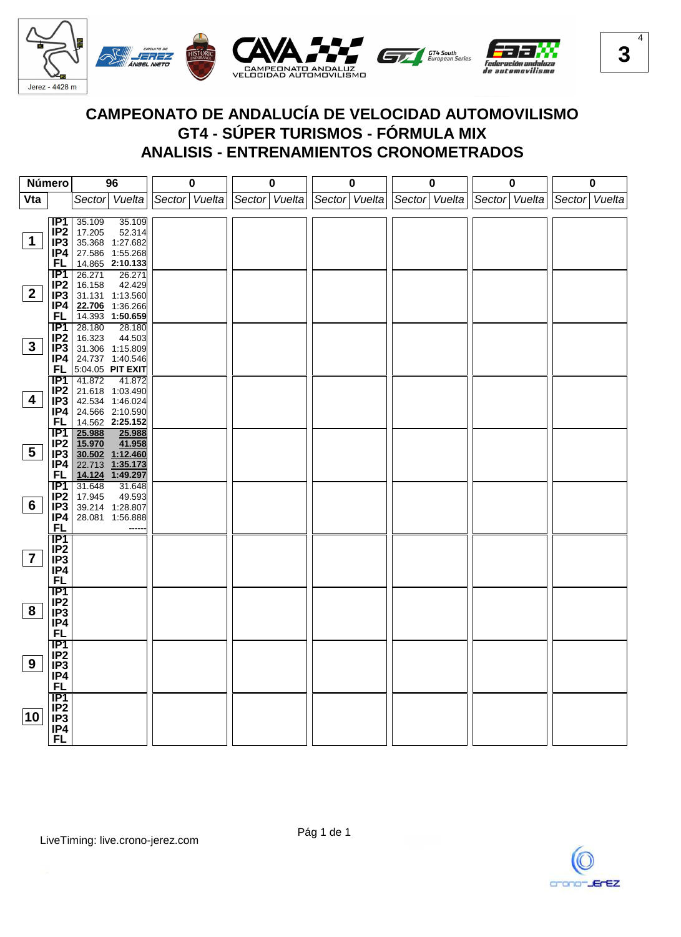

| Número          |                  |        | 96                                 | $\mathbf 0$   | $\mathbf 0$   |               | $\pmb{0}$ |               | 0 |               | $\pmb{0}$ |               | $\pmb{0}$ |
|-----------------|------------------|--------|------------------------------------|---------------|---------------|---------------|-----------|---------------|---|---------------|-----------|---------------|-----------|
| Vta             |                  |        | Sector Vuelta                      | Sector Vuelta | Sector Vuelta | Sector Vuelta |           | Sector Vuelta |   | Sector Vuelta |           | Sector Vuelta |           |
|                 |                  |        |                                    |               |               |               |           |               |   |               |           |               |           |
|                 | IP <sub>1</sub>  | 35.109 | 35.109                             |               |               |               |           |               |   |               |           |               |           |
|                 | IP <sub>2</sub>  | 17.205 | 52.314                             |               |               |               |           |               |   |               |           |               |           |
| $\mathbf 1$     | IP3              |        | 35.368 1:27.682                    |               |               |               |           |               |   |               |           |               |           |
|                 | IP4              |        | 27.586 1:55.268                    |               |               |               |           |               |   |               |           |               |           |
|                 | FL.              |        | 14.865 2:10.133                    |               |               |               |           |               |   |               |           |               |           |
|                 | IP1              | 26.271 | 26.271                             |               |               |               |           |               |   |               |           |               |           |
|                 | IP <sub>2</sub>  | 16.158 | 42.429                             |               |               |               |           |               |   |               |           |               |           |
| 2 <sub>2</sub>  | IP <sub>3</sub>  |        | 31.131 1:13.560                    |               |               |               |           |               |   |               |           |               |           |
|                 | IP4              |        | 22.706 1:36.266                    |               |               |               |           |               |   |               |           |               |           |
|                 | FL.              |        | 14.393 1:50.659                    |               |               |               |           |               |   |               |           |               |           |
|                 | $\overline{IP1}$ | 28.180 | 28.180                             |               |               |               |           |               |   |               |           |               |           |
|                 | IP <sub>2</sub>  | 16.323 | 44.503                             |               |               |               |           |               |   |               |           |               |           |
| 3 <sup>1</sup>  | IP3              |        | 31.306 1:15.809                    |               |               |               |           |               |   |               |           |               |           |
|                 | IP4              |        | 24.737 1:40.546                    |               |               |               |           |               |   |               |           |               |           |
|                 | FL.              |        | 5:04.05 PIT EXIT                   |               |               |               |           |               |   |               |           |               |           |
|                 | TP1              | 41.872 | $-41.872$                          |               |               |               |           |               |   |               |           |               |           |
| 4               | IP <sub>2</sub>  |        | 21.618 1:03.490                    |               |               |               |           |               |   |               |           |               |           |
|                 | IP3              |        | 42.534 1:46.024                    |               |               |               |           |               |   |               |           |               |           |
|                 | IP4<br>FL.       |        | 24.566 2:10.590<br>14.562 2:25.152 |               |               |               |           |               |   |               |           |               |           |
|                 | $\overline{IP1}$ | 25.988 |                                    |               |               |               |           |               |   |               |           |               |           |
|                 | IP <sub>2</sub>  | 15.970 | 25.988<br>41.958                   |               |               |               |           |               |   |               |           |               |           |
| $5\overline{)}$ | IP3              |        | 30.502 1:12.460                    |               |               |               |           |               |   |               |           |               |           |
|                 | IP4              |        | 22.713 1:35.173                    |               |               |               |           |               |   |               |           |               |           |
|                 | FL               |        | 14.124 1:49.297                    |               |               |               |           |               |   |               |           |               |           |
|                 | IP1              | 31.648 | 31.648                             |               |               |               |           |               |   |               |           |               |           |
|                 | IP <sub>2</sub>  | 17.945 | 49.593                             |               |               |               |           |               |   |               |           |               |           |
| $6\overline{6}$ | IP3              |        | 39.214 1:28.807                    |               |               |               |           |               |   |               |           |               |           |
|                 | IP4              |        | 28.081 1:56.888                    |               |               |               |           |               |   |               |           |               |           |
|                 | FL               |        |                                    |               |               |               |           |               |   |               |           |               |           |
|                 | <b>IP1</b>       |        |                                    |               |               |               |           |               |   |               |           |               |           |
|                 | IP <sub>2</sub>  |        |                                    |               |               |               |           |               |   |               |           |               |           |
| $\overline{7}$  | IP <sub>3</sub>  |        |                                    |               |               |               |           |               |   |               |           |               |           |
|                 | IP4              |        |                                    |               |               |               |           |               |   |               |           |               |           |
|                 | <b>FL</b>        |        |                                    |               |               |               |           |               |   |               |           |               |           |
|                 | <b>IP1</b>       |        |                                    |               |               |               |           |               |   |               |           |               |           |
|                 | IP <sub>2</sub>  |        |                                    |               |               |               |           |               |   |               |           |               |           |
| 8               | IP <sub>3</sub>  |        |                                    |               |               |               |           |               |   |               |           |               |           |
|                 | IP4              |        |                                    |               |               |               |           |               |   |               |           |               |           |
|                 | <b>FL</b>        |        |                                    |               |               |               |           |               |   |               |           |               |           |
|                 | $\overline{IP1}$ |        |                                    |               |               |               |           |               |   |               |           |               |           |
|                 | IP <sub>2</sub>  |        |                                    |               |               |               |           |               |   |               |           |               |           |
| 9               | IP <sub>3</sub>  |        |                                    |               |               |               |           |               |   |               |           |               |           |
|                 | IP4              |        |                                    |               |               |               |           |               |   |               |           |               |           |
|                 | <b>FL</b>        |        |                                    |               |               |               |           |               |   |               |           |               |           |
|                 | IP1              |        |                                    |               |               |               |           |               |   |               |           |               |           |
| 10              | IP <sub>2</sub>  |        |                                    |               |               |               |           |               |   |               |           |               |           |
|                 | IP <sub>3</sub>  |        |                                    |               |               |               |           |               |   |               |           |               |           |
|                 | IP4<br><b>FL</b> |        |                                    |               |               |               |           |               |   |               |           |               |           |
|                 |                  |        |                                    |               |               |               |           |               |   |               |           |               |           |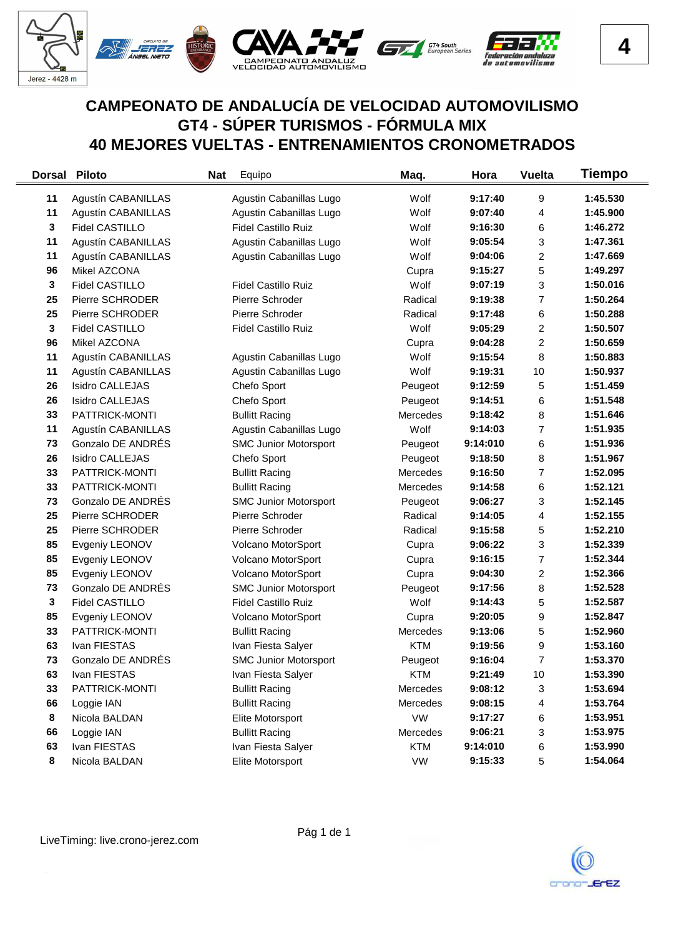

|    | <b>Dorsal Piloto</b>      | <b>Nat</b> | Equipo                       | Maq.       | Hora     | <b>Vuelta</b>  | <b>Tiempo</b> |
|----|---------------------------|------------|------------------------------|------------|----------|----------------|---------------|
| 11 | Agustín CABANILLAS        |            | Agustin Cabanillas Lugo      | Wolf       | 9:17:40  | 9              | 1:45.530      |
| 11 | Agustín CABANILLAS        |            | Agustin Cabanillas Lugo      | Wolf       | 9:07:40  | 4              | 1:45.900      |
| 3  | Fidel CASTILLO            |            | <b>Fidel Castillo Ruiz</b>   | Wolf       | 9:16:30  | 6              | 1:46.272      |
| 11 | <b>Agustín CABANILLAS</b> |            | Agustin Cabanillas Lugo      | Wolf       | 9:05:54  | 3              | 1:47.361      |
| 11 | Agustín CABANILLAS        |            | Agustin Cabanillas Lugo      | Wolf       | 9:04:06  | 2              | 1:47.669      |
| 96 | Mikel AZCONA              |            |                              | Cupra      | 9:15:27  | 5              | 1:49.297      |
| 3  | Fidel CASTILLO            |            | <b>Fidel Castillo Ruiz</b>   | Wolf       | 9:07:19  | 3              | 1:50.016      |
| 25 | Pierre SCHRODER           |            | Pierre Schroder              | Radical    | 9:19:38  | $\overline{7}$ | 1:50.264      |
| 25 | Pierre SCHRODER           |            | Pierre Schroder              | Radical    | 9:17:48  | 6              | 1:50.288      |
| 3  | Fidel CASTILLO            |            | <b>Fidel Castillo Ruiz</b>   | Wolf       | 9:05:29  | 2              | 1:50.507      |
| 96 | Mikel AZCONA              |            |                              | Cupra      | 9:04:28  | 2              | 1:50.659      |
| 11 | Agustín CABANILLAS        |            | Agustin Cabanillas Lugo      | Wolf       | 9:15:54  | 8              | 1:50.883      |
| 11 | Agustín CABANILLAS        |            | Agustin Cabanillas Lugo      | Wolf       | 9:19:31  | 10             | 1:50.937      |
| 26 | <b>Isidro CALLEJAS</b>    |            | Chefo Sport                  | Peugeot    | 9:12:59  | 5              | 1:51.459      |
| 26 | <b>Isidro CALLEJAS</b>    |            | Chefo Sport                  | Peugeot    | 9:14:51  | 6              | 1:51.548      |
| 33 | PATTRICK-MONTI            |            | <b>Bullitt Racing</b>        | Mercedes   | 9:18:42  | 8              | 1:51.646      |
| 11 | Agustín CABANILLAS        |            | Agustin Cabanillas Lugo      | Wolf       | 9:14:03  | $\overline{7}$ | 1:51.935      |
| 73 | Gonzalo DE ANDRÉS         |            | <b>SMC Junior Motorsport</b> | Peugeot    | 9:14:010 | 6              | 1:51.936      |
| 26 | <b>Isidro CALLEJAS</b>    |            | Chefo Sport                  | Peugeot    | 9:18:50  | 8              | 1:51.967      |
| 33 | PATTRICK-MONTI            |            | <b>Bullitt Racing</b>        | Mercedes   | 9:16:50  | 7              | 1:52.095      |
| 33 | PATTRICK-MONTI            |            | <b>Bullitt Racing</b>        | Mercedes   | 9:14:58  | 6              | 1:52.121      |
| 73 | Gonzalo DE ANDRÉS         |            | <b>SMC Junior Motorsport</b> | Peugeot    | 9:06:27  | 3              | 1:52.145      |
| 25 | Pierre SCHRODER           |            | Pierre Schroder              | Radical    | 9:14:05  | 4              | 1:52.155      |
| 25 | Pierre SCHRODER           |            | Pierre Schroder              | Radical    | 9:15:58  | 5              | 1:52.210      |
| 85 | Evgeniy LEONOV            |            | Volcano MotorSport           | Cupra      | 9:06:22  | 3              | 1:52.339      |
| 85 | Evgeniy LEONOV            |            | Volcano MotorSport           | Cupra      | 9:16:15  | $\overline{7}$ | 1:52.344      |
| 85 | Evgeniy LEONOV            |            | Volcano MotorSport           | Cupra      | 9:04:30  | 2              | 1:52.366      |
| 73 | Gonzalo DE ANDRÉS         |            | <b>SMC Junior Motorsport</b> | Peugeot    | 9:17:56  | 8              | 1:52.528      |
| 3  | Fidel CASTILLO            |            | <b>Fidel Castillo Ruiz</b>   | Wolf       | 9:14:43  | 5              | 1:52.587      |
| 85 | Evgeniy LEONOV            |            | Volcano MotorSport           | Cupra      | 9:20:05  | 9              | 1:52.847      |
| 33 | PATTRICK-MONTI            |            | <b>Bullitt Racing</b>        | Mercedes   | 9:13:06  | 5              | 1:52.960      |
| 63 | Ivan FIESTAS              |            | Ivan Fiesta Salyer           | <b>KTM</b> | 9:19:56  | 9              | 1:53.160      |
| 73 | Gonzalo DE ANDRÉS         |            | <b>SMC Junior Motorsport</b> | Peugeot    | 9:16:04  | 7              | 1:53.370      |
| 63 | Ivan FIESTAS              |            | Ivan Fiesta Salyer           | <b>KTM</b> | 9:21:49  | 10             | 1:53.390      |
| 33 | PATTRICK-MONTI            |            | <b>Bullitt Racing</b>        | Mercedes   | 9:08:12  | 3              | 1:53.694      |
| 66 | Loggie IAN                |            | <b>Bullitt Racing</b>        | Mercedes   | 9:08:15  | 4              | 1:53.764      |
| 8  | Nicola BALDAN             |            | Elite Motorsport             | <b>VW</b>  | 9:17:27  | 6              | 1:53.951      |
| 66 | Loggie IAN                |            | <b>Bullitt Racing</b>        | Mercedes   | 9:06:21  | 3              | 1:53.975      |
| 63 | Ivan FIESTAS              |            | Ivan Fiesta Salyer           | <b>KTM</b> | 9:14:010 | 6              | 1:53.990      |
| 8  | Nicola BALDAN             |            | Elite Motorsport             | VW         | 9:15:33  | 5              | 1:54.064      |

 $\equiv$ 

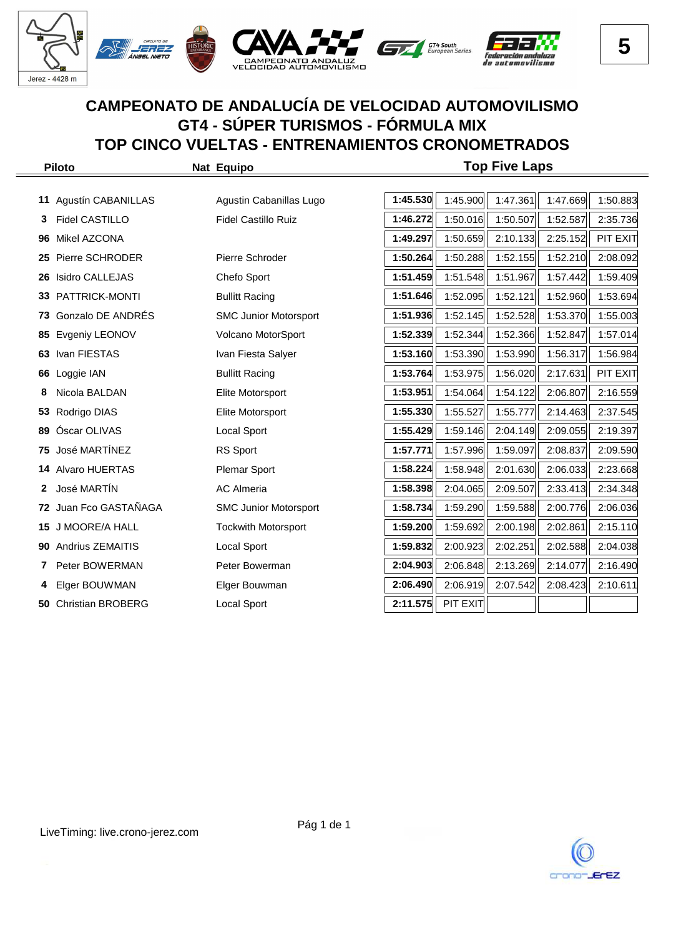

|    | <b>Piloto</b>           | Nat Equipo                   |          |          | <b>Top Five Laps</b> |          |          |
|----|-------------------------|------------------------------|----------|----------|----------------------|----------|----------|
|    |                         |                              |          |          |                      |          |          |
| 11 | Agustín CABANILLAS      | Agustin Cabanillas Lugo      | 1:45.530 | 1:45.900 | 1:47.361             | 1:47.669 | 1:50.883 |
| 3  | <b>Fidel CASTILLO</b>   | <b>Fidel Castillo Ruiz</b>   | 1:46.272 | 1:50.016 | 1:50.507             | 1:52.587 | 2:35.736 |
| 96 | Mikel AZCONA            |                              | 1:49.297 | 1:50.659 | 2:10.133             | 2:25.152 | PIT EXIT |
| 25 | Pierre SCHRODER         | Pierre Schroder              | 1:50.264 | 1:50.288 | 1:52.155             | 1:52.210 | 2:08.092 |
| 26 | <b>Isidro CALLEJAS</b>  | Chefo Sport                  | 1:51.459 | 1:51.548 | 1:51.967             | 1:57.442 | 1:59.409 |
| 33 | PATTRICK-MONTI          | <b>Bullitt Racing</b>        | 1:51.646 | 1:52.095 | 1:52.121             | 1:52.960 | 1:53.694 |
| 73 | Gonzalo DE ANDRÉS       | <b>SMC Junior Motorsport</b> | 1:51.936 | 1:52.145 | 1:52.528             | 1:53.370 | 1:55.003 |
| 85 | Evgeniy LEONOV          | Volcano MotorSport           | 1:52.339 | 1:52.344 | 1:52.366             | 1:52.847 | 1:57.014 |
| 63 | Ivan FIESTAS            | Ivan Fiesta Salyer           | 1:53.160 | 1:53.390 | 1:53.990             | 1:56.317 | 1:56.984 |
| 66 | Loggie IAN              | <b>Bullitt Racing</b>        | 1:53.764 | 1:53.975 | 1:56.020             | 2:17.631 | PIT EXIT |
| 8  | Nicola BALDAN           | Elite Motorsport             | 1:53.951 | 1:54.064 | 1:54.122             | 2:06.807 | 2:16.559 |
| 53 | Rodrigo DIAS            | Elite Motorsport             | 1:55.330 | 1:55.527 | 1:55.777             | 2:14.463 | 2:37.545 |
| 89 | Óscar OLIVAS            | Local Sport                  | 1:55.429 | 1:59.146 | 2:04.149             | 2:09.055 | 2:19.397 |
| 75 | José MARTÍNEZ           | RS Sport                     | 1:57.771 | 1:57.996 | 1:59.097             | 2:08.837 | 2:09.590 |
| 14 | Alvaro HUERTAS          | <b>Plemar Sport</b>          | 1:58.224 | 1:58.948 | 2:01.630             | 2:06.033 | 2:23.668 |
| 2  | José MARTIN             | <b>AC Almeria</b>            | 1:58.398 | 2:04.065 | 2:09.507             | 2:33.413 | 2:34.348 |
| 72 | Juan Fco GASTAÑAGA      | <b>SMC Junior Motorsport</b> | 1:58.734 | 1:59.290 | 1:59.588             | 2:00.776 | 2:06.036 |
| 15 | J MOORE/A HALL          | <b>Tockwith Motorsport</b>   | 1:59.200 | 1:59.692 | 2:00.198             | 2:02.861 | 2:15.110 |
| 90 | <b>Andrius ZEMAITIS</b> | Local Sport                  | 1:59.832 | 2:00.923 | 2:02.251             | 2:02.588 | 2:04.038 |
| 7  | Peter BOWERMAN          | Peter Bowerman               | 2:04.903 | 2:06.848 | 2:13.269             | 2:14.077 | 2:16.490 |
|    | Elger BOUWMAN           | Elger Bouwman                | 2:06.490 | 2:06.919 | 2:07.542             | 2:08.423 | 2:10.611 |
|    | 50 Christian BROBERG    | Local Sport                  | 2:11.575 | PIT EXIT |                      |          |          |

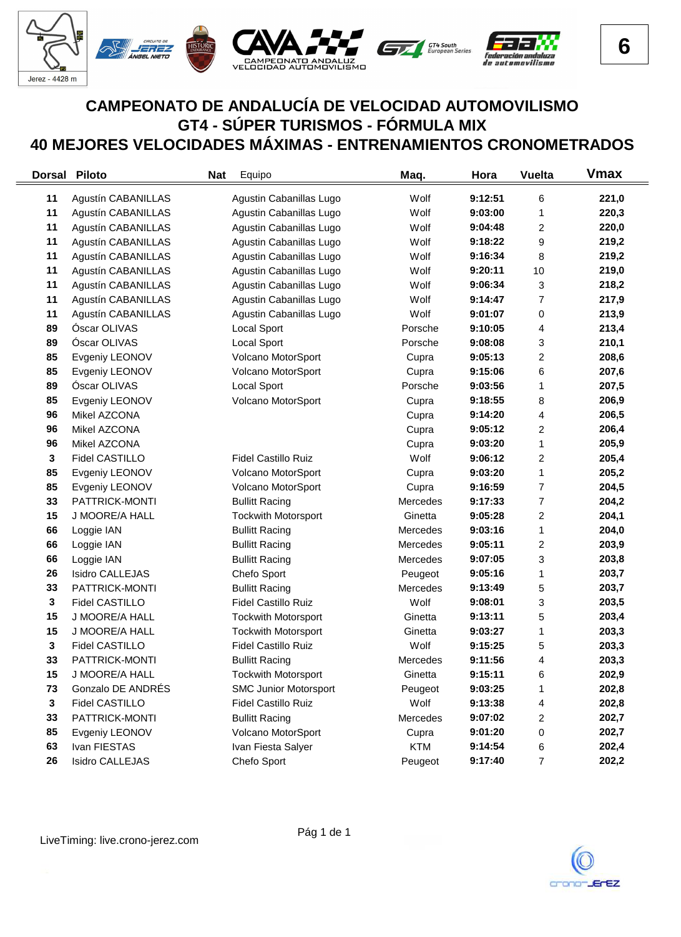

## **CAMPEONATO DE ANDALUCÍA DE VELOCIDAD AUTOMOVILISMO GT4 - SÚPER TURISMOS - FÓRMULA MIX 40 MEJORES VELOCIDADES MÁXIMAS - ENTRENAMIENTOS CRONOMETRADOS**

| <b>Dorsal</b> | <b>Piloto</b>             | Equipo<br><b>Nat</b>         | Maq.            | Hora    | <b>Vuelta</b>           | <b>Vmax</b> |
|---------------|---------------------------|------------------------------|-----------------|---------|-------------------------|-------------|
| 11            | Agustín CABANILLAS        | Agustin Cabanillas Lugo      | Wolf            | 9:12:51 | 6                       | 221,0       |
| 11            | Agustín CABANILLAS        | Agustin Cabanillas Lugo      | Wolf            | 9:03:00 | 1                       | 220,3       |
| 11            | Agustín CABANILLAS        | Agustin Cabanillas Lugo      | Wolf            | 9:04:48 | $\overline{\mathbf{c}}$ | 220,0       |
| 11            | Agustín CABANILLAS        | Agustin Cabanillas Lugo      | Wolf            | 9:18:22 | 9                       | 219,2       |
| 11            | Agustín CABANILLAS        | Agustin Cabanillas Lugo      | Wolf            | 9:16:34 | 8                       | 219,2       |
| 11            | Agustín CABANILLAS        | Agustin Cabanillas Lugo      | Wolf            | 9:20:11 | 10                      | 219,0       |
| 11            | Agustín CABANILLAS        | Agustin Cabanillas Lugo      | Wolf            | 9:06:34 | 3                       | 218,2       |
| 11            | <b>Agustín CABANILLAS</b> | Agustin Cabanillas Lugo      | Wolf            | 9:14:47 | 7                       | 217,9       |
| 11            | Agustín CABANILLAS        | Agustin Cabanillas Lugo      | Wolf            | 9:01:07 | 0                       | 213,9       |
| 89            | Óscar OLIVAS              | Local Sport                  | Porsche         | 9:10:05 | 4                       | 213,4       |
| 89            | Óscar OLIVAS              | Local Sport                  | Porsche         | 9:08:08 | 3                       | 210,1       |
| 85            | Evgeniy LEONOV            | Volcano MotorSport           | Cupra           | 9:05:13 | 2                       | 208,6       |
| 85            | Evgeniy LEONOV            | Volcano MotorSport           | Cupra           | 9:15:06 | 6                       | 207,6       |
| 89            | Óscar OLIVAS              | Local Sport                  | Porsche         | 9:03:56 | 1                       | 207,5       |
| 85            | Evgeniy LEONOV            | Volcano MotorSport           | Cupra           | 9:18:55 | 8                       | 206,9       |
| 96            | Mikel AZCONA              |                              | Cupra           | 9:14:20 | 4                       | 206,5       |
| 96            | Mikel AZCONA              |                              | Cupra           | 9:05:12 | 2                       | 206,4       |
| 96            | Mikel AZCONA              |                              | Cupra           | 9:03:20 | 1                       | 205,9       |
| 3             | <b>Fidel CASTILLO</b>     | <b>Fidel Castillo Ruiz</b>   | Wolf            | 9:06:12 | $\overline{\mathbf{c}}$ | 205,4       |
| 85            | Evgeniy LEONOV            | Volcano MotorSport           | Cupra           | 9:03:20 | 1                       | 205,2       |
| 85            | Evgeniy LEONOV            | Volcano MotorSport           | Cupra           | 9:16:59 | 7                       | 204,5       |
| 33            | PATTRICK-MONTI            | <b>Bullitt Racing</b>        | Mercedes        | 9:17:33 | 7                       | 204,2       |
| 15            | J MOORE/A HALL            | <b>Tockwith Motorsport</b>   | Ginetta         | 9:05:28 | 2                       | 204,1       |
| 66            | Loggie IAN                | <b>Bullitt Racing</b>        | Mercedes        | 9:03:16 | 1                       | 204,0       |
| 66            | Loggie IAN                | <b>Bullitt Racing</b>        | Mercedes        | 9:05:11 | 2                       | 203,9       |
| 66            | Loggie IAN                | <b>Bullitt Racing</b>        | Mercedes        | 9:07:05 | 3                       | 203,8       |
| 26            | <b>Isidro CALLEJAS</b>    | Chefo Sport                  | Peugeot         | 9:05:16 | 1                       | 203,7       |
| 33            | PATTRICK-MONTI            | <b>Bullitt Racing</b>        | <b>Mercedes</b> | 9:13:49 | 5                       | 203,7       |
| 3             | <b>Fidel CASTILLO</b>     | <b>Fidel Castillo Ruiz</b>   | Wolf            | 9:08:01 | 3                       | 203,5       |
| 15            | J MOORE/A HALL            | <b>Tockwith Motorsport</b>   | Ginetta         | 9:13:11 | 5                       | 203,4       |
| 15            | J MOORE/A HALL            | <b>Tockwith Motorsport</b>   | Ginetta         | 9:03:27 | 1                       | 203,3       |
| 3             | Fidel CASTILLO            | <b>Fidel Castillo Ruiz</b>   | Wolf            | 9:15:25 | 5                       | 203,3       |
| 33            | PATTRICK-MONTI            | <b>Bullitt Racing</b>        | Mercedes        | 9:11:56 | 4                       | 203,3       |
| 15            | J MOORE/A HALL            | <b>Tockwith Motorsport</b>   | Ginetta         | 9:15:11 | 6                       | 202,9       |
| 73            | Gonzalo DE ANDRÉS         | <b>SMC Junior Motorsport</b> | Peugeot         | 9:03:25 | 1                       | 202,8       |
| $\mathbf{3}$  | <b>Fidel CASTILLO</b>     | <b>Fidel Castillo Ruiz</b>   | Wolf            | 9:13:38 | 4                       | 202,8       |
| 33            | PATTRICK-MONTI            | <b>Bullitt Racing</b>        | Mercedes        | 9:07:02 | 2                       | 202,7       |
| 85            | Evgeniy LEONOV            | Volcano MotorSport           | Cupra           | 9:01:20 | 0                       | 202,7       |
| 63            | Ivan FIESTAS              | Ivan Fiesta Salyer           | <b>KTM</b>      | 9:14:54 | 6                       | 202,4       |
| 26            | <b>Isidro CALLEJAS</b>    | Chefo Sport                  | Peugeot         | 9:17:40 | 7                       | 202,2       |

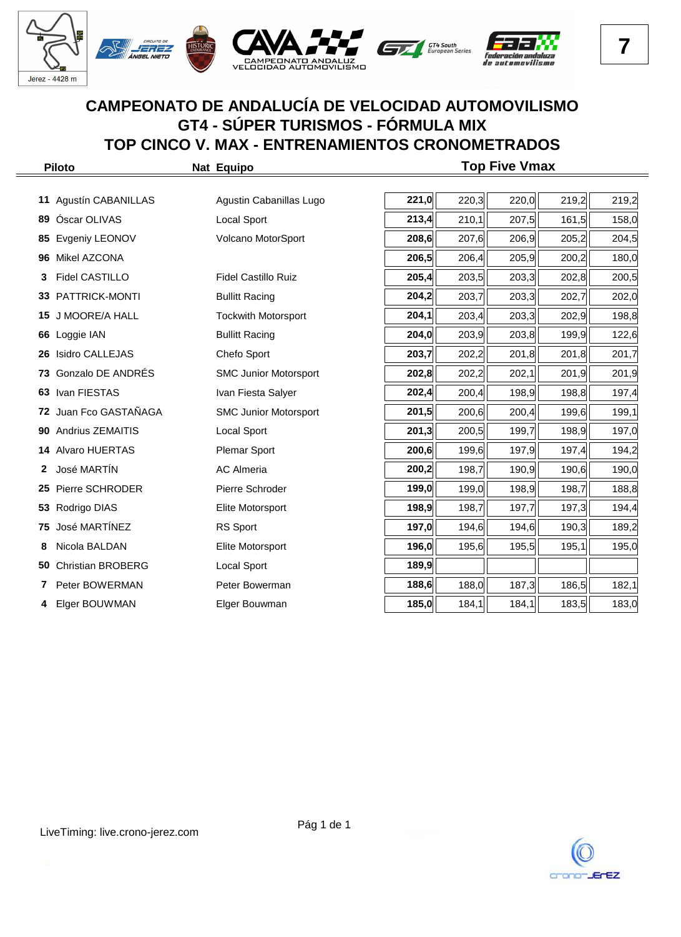

|    | <b>Piloto</b>            | Nat Equipo                   |       |       | <b>Top Five Vmax</b> |       |       |
|----|--------------------------|------------------------------|-------|-------|----------------------|-------|-------|
|    |                          |                              |       |       |                      |       |       |
| 11 | Agustín CABANILLAS       | Agustin Cabanillas Lugo      | 221,0 | 220,3 | 220,0                | 219,2 | 219,2 |
| 89 | Óscar OLIVAS             | <b>Local Sport</b>           | 213,4 | 210,1 | 207,5                | 161,5 | 158,0 |
| 85 | Evgeniy LEONOV           | Volcano MotorSport           | 208,6 | 207,6 | 206,9                | 205,2 | 204,5 |
| 96 | Mikel AZCONA             |                              | 206,5 | 206,4 | 205,9                | 200,2 | 180,0 |
| 3  | <b>Fidel CASTILLO</b>    | <b>Fidel Castillo Ruiz</b>   | 205,4 | 203,5 | 203,3                | 202,8 | 200,5 |
| 33 | PATTRICK-MONTI           | <b>Bullitt Racing</b>        | 204,2 | 203,7 | 203,3                | 202,7 | 202,0 |
| 15 | J MOORE/A HALL           | <b>Tockwith Motorsport</b>   | 204,1 | 203,4 | 203,3                | 202,9 | 198,8 |
| 66 | Loggie IAN               | <b>Bullitt Racing</b>        | 204,0 | 203,9 | 203,8                | 199,9 | 122,6 |
| 26 | <b>Isidro CALLEJAS</b>   | Chefo Sport                  | 203,7 | 202,2 | 201,8                | 201,8 | 201,7 |
| 73 | Gonzalo DE ANDRÉS        | <b>SMC Junior Motorsport</b> | 202,8 | 202,2 | 202,1                | 201,9 | 201,9 |
| 63 | Ivan FIESTAS             | Ivan Fiesta Salyer           | 202,4 | 200,4 | 198,9                | 198,8 | 197,4 |
|    | 72 Juan Fco GASTAÑAGA    | <b>SMC Junior Motorsport</b> | 201,5 | 200,6 | 200,4                | 199,6 | 199,1 |
| 90 | Andrius ZEMAITIS         | <b>Local Sport</b>           | 201,3 | 200,5 | 199,7                | 198,9 | 197,0 |
| 14 | <b>Alvaro HUERTAS</b>    | <b>Plemar Sport</b>          | 200,6 | 199,6 | 197,9                | 197,4 | 194,2 |
| 2  | José MARTIN              | <b>AC Almeria</b>            | 200,2 | 198,7 | 190,9                | 190,6 | 190,0 |
| 25 | Pierre SCHRODER          | Pierre Schroder              | 199,0 | 199,0 | 198,9                | 198,7 | 188,8 |
| 53 | Rodrigo DIAS             | Elite Motorsport             | 198,9 | 198,7 | 197,7                | 197,3 | 194,4 |
| 75 | José MARTÍNEZ            | RS Sport                     | 197,0 | 194,6 | 194,6                | 190,3 | 189,2 |
| 8  | Nicola BALDAN            | Elite Motorsport             | 196,0 | 195,6 | 195,5                | 195,1 | 195,0 |
| 50 | <b>Christian BROBERG</b> | <b>Local Sport</b>           | 189,9 |       |                      |       |       |
| 7  | Peter BOWERMAN           | Peter Bowerman               | 188,6 | 188,0 | 187,3                | 186,5 | 182,1 |
| 4  | Elger BOUWMAN            | Elger Bouwman                | 185,0 | 184,1 | 184,1                | 183,5 | 183,0 |